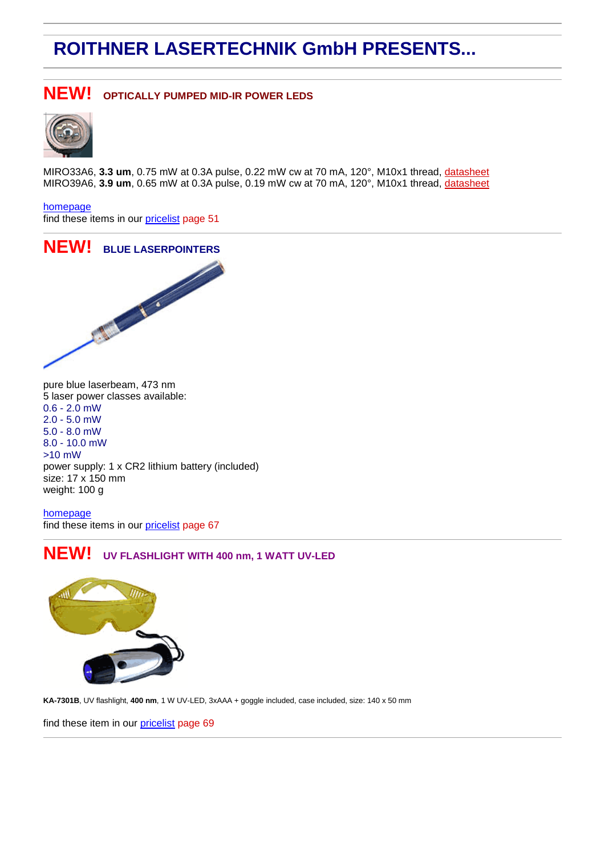# **ROITHNER LASERTECHNIK GmbH PRESENTS...**

#### **NEW! OPTICALLY PUMPED MID-IR POWER LEDS**



MIRO33A6, **3.3 um**, 0.75 mW at 0.3A pulse, 0.22 mW cw at 70 mA, 120°, M10x1 thread, [datasheet](http://www.roithner-laser.com/All_Datasheets/MID_IR/MIRO33A6.pdf) MIRO39A6, **3.9 um**, 0.65 mW at 0.3A pulse, 0.19 mW cw at 70 mA, 120°, M10x1 thread, [datasheet](http://www.roithner-laser.com/All_Datasheets/MID_IR/MIRO39A6.pdf)

[homepage](http://www.roithner-laser.com/LED_MID_IR.htm)

find these items in our [pricelist](http://www.roithner-laser.com/All_Datasheets/Pricelists/) page 51



pure blue laserbeam, 473 nm 5 laser power classes available: 0.6 - 2.0 mW 2.0 - 5.0 mW 5.0 - 8.0 mW 8.0 - 10.0 mW >10 mW power supply: 1 x CR2 lithium battery (included) size: 17 x 150 mm weight: 100 g

[homepage](http://www.roithner-laser.com/GP-4.html) find these items in our [pricelist](http://www.roithner-laser.com/All_Datasheets/Pricelists/) page 67

#### **NEW! UV FLASHLIGHT WITH 400 nm, 1 WATT UV-LED**



**KA-7301B**, UV flashlight, **400 nm**, 1 W UV-LED, 3xAAA + goggle included, case included, size: 140 x 50 mm

find these item in our [pricelist](http://www.roithner-laser.com/All_Datasheets/Pricelists/) page 69